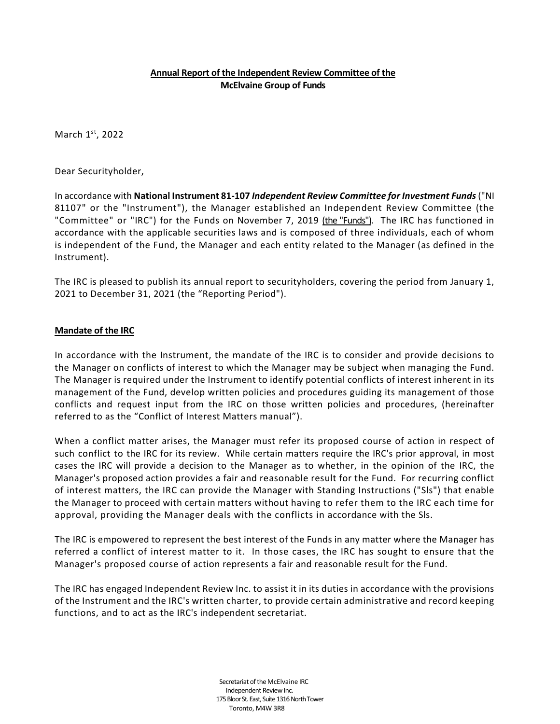## **Annual Report of the Independent Review Committee of the McElvaine Group of Funds**

March 1<sup>st</sup>, 2022

Dear Securityholder,

In accordance with **National Instrument 81-107** *Independent Review Committee for Investment Funds* ("NI 81107" or the "Instrument"), the Manager established an Independent Review Committee (the "Committee" or "IRC") for the Funds on November 7, 2019 (the "Funds"). The IRC has functioned in accordance with the applicable securities laws and is composed of three individuals, each of whom is independent of the Fund, the Manager and each entity related to the Manager (as defined in the Instrument).

The IRC is pleased to publish its annual report to securityholders, covering the period from January 1, 2021 to December 31, 2021 (the "Reporting Period").

#### **Mandate of the IRC**

In accordance with the Instrument, the mandate of the IRC is to consider and provide decisions to the Manager on conflicts of interest to which the Manager may be subject when managing the Fund. The Manager is required under the Instrument to identify potential conflicts of interest inherent in its management of the Fund, develop written policies and procedures guiding its management of those conflicts and request input from the IRC on those written policies and procedures, (hereinafter referred to as the "Conflict of Interest Matters manual").

When a conflict matter arises, the Manager must refer its proposed course of action in respect of such conflict to the IRC for its review. While certain matters require the IRC's prior approval, in most cases the IRC will provide a decision to the Manager as to whether, in the opinion of the IRC, the Manager's proposed action provides a fair and reasonable result for the Fund. For recurring conflict of interest matters, the IRC can provide the Manager with Standing Instructions ("Sls") that enable the Manager to proceed with certain matters without having to refer them to the IRC each time for approval, providing the Manager deals with the conflicts in accordance with the Sls.

The IRC is empowered to represent the best interest of the Funds in any matter where the Manager has referred a conflict of interest matter to it. In those cases, the IRC has sought to ensure that the Manager's proposed course of action represents a fair and reasonable result for the Fund.

The IRC has engaged Independent Review Inc. to assist it in its duties in accordance with the provisions of the Instrument and the IRC's written charter, to provide certain administrative and record keeping functions, and to act as the IRC's independent secretariat.

> Secretariat of the McElvaine IRC Independent Review Inc. 175 Bloor St. East, Suite 1316 North Tower Toronto, M4W 3R8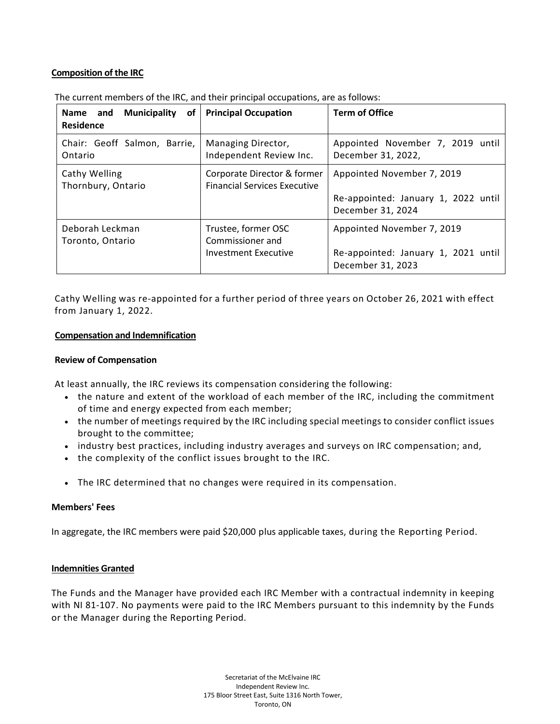# **Composition of the IRC**

| <b>Municipality</b><br><b>Name</b><br>and<br>0f<br><b>Residence</b> | <b>Principal Occupation</b>                                        | <b>Term of Office</b>                                                                  |
|---------------------------------------------------------------------|--------------------------------------------------------------------|----------------------------------------------------------------------------------------|
| Chair: Geoff Salmon, Barrie,<br>Ontario                             | Managing Director,<br>Independent Review Inc.                      | Appointed November 7, 2019 until<br>December 31, 2022,                                 |
| Cathy Welling<br>Thornbury, Ontario                                 | Corporate Director & former<br><b>Financial Services Executive</b> | Appointed November 7, 2019<br>Re-appointed: January 1, 2022 until<br>December 31, 2024 |
| Deborah Leckman<br>Toronto, Ontario                                 | Trustee, former OSC<br>Commissioner and<br>Investment Executive    | Appointed November 7, 2019<br>Re-appointed: January 1, 2021 until<br>December 31, 2023 |

The current members of the IRC, and their principal occupations, are as follows:

Cathy Welling was re-appointed for a further period of three years on October 26, 2021 with effect from January 1, 2022.

#### **Compensation and Indemnification**

#### **Review of Compensation**

At least annually, the IRC reviews its compensation considering the following:

- the nature and extent of the workload of each member of the IRC, including the commitment of time and energy expected from each member;
- the number of meetings required by the IRC including special meetings to consider conflict issues brought to the committee;
- industry best practices, including industry averages and surveys on IRC compensation; and,
- the complexity of the conflict issues brought to the IRC.
- The IRC determined that no changes were required in its compensation.

## **Members' Fees**

In aggregate, the IRC members were paid \$20,000 plus applicable taxes, during the Reporting Period.

#### **Indemnities Granted**

The Funds and the Manager have provided each IRC Member with a contractual indemnity in keeping with NI 81-107. No payments were paid to the IRC Members pursuant to this indemnity by the Funds or the Manager during the Reporting Period.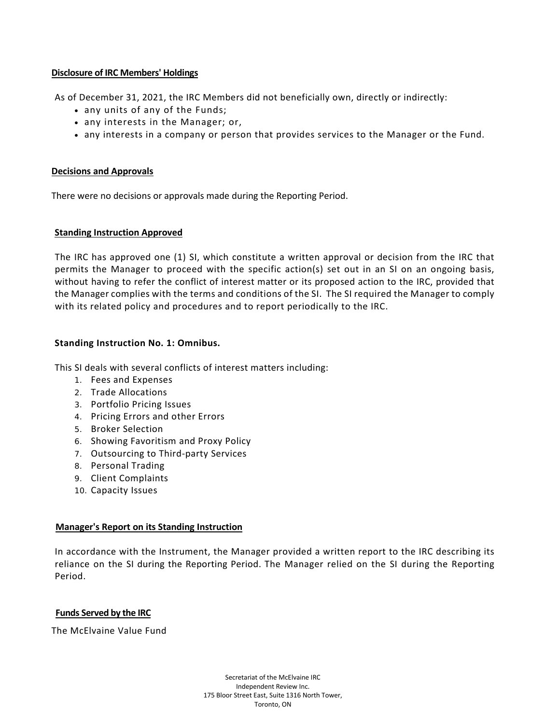## **Disclosure of IRC Members' Holdings**

As of December 31, 2021, the IRC Members did not beneficially own, directly or indirectly:

- any units of any of the Funds;
- any interests in the Manager; or,
- any interests in a company or person that provides services to the Manager or the Fund.

#### **Decisions and Approvals**

There were no decisions or approvals made during the Reporting Period.

#### **Standing Instruction Approved**

The IRC has approved one (1) SI, which constitute a written approval or decision from the IRC that permits the Manager to proceed with the specific action(s) set out in an SI on an ongoing basis, without having to refer the conflict of interest matter or its proposed action to the IRC, provided that the Manager complies with the terms and conditions of the SI. The SI required the Manager to comply with its related policy and procedures and to report periodically to the IRC.

#### **Standing Instruction No. 1: Omnibus.**

This SI deals with several conflicts of interest matters including:

- 1. Fees and Expenses
- 2. Trade Allocations
- 3. Portfolio Pricing Issues
- 4. Pricing Errors and other Errors
- 5. Broker Selection
- 6. Showing Favoritism and Proxy Policy
- 7. Outsourcing to Third-party Services
- 8. Personal Trading
- 9. Client Complaints
- 10. Capacity Issues

## **Manager's Report on its Standing Instruction**

In accordance with the Instrument, the Manager provided a written report to the IRC describing its reliance on the SI during the Reporting Period. The Manager relied on the SI during the Reporting Period.

## **Funds Served by the IRC**

The McElvaine Value Fund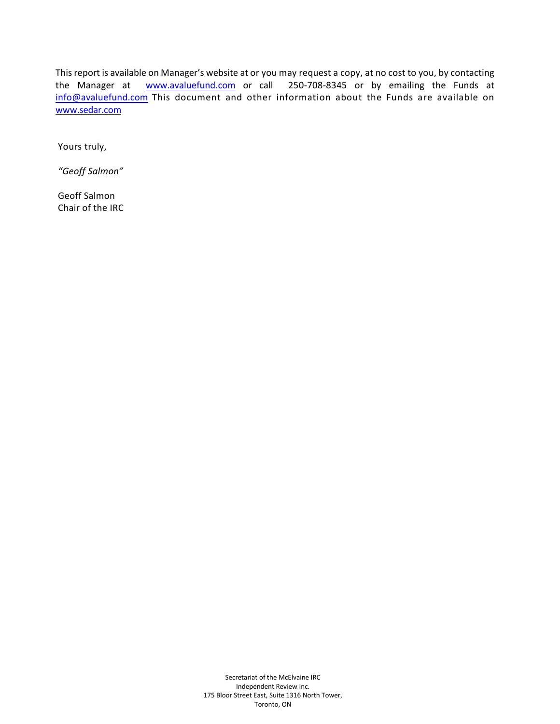This report is available on Manager's website at or you may request a copy, at no cost to you, by contacting the Manager at **WWW.avaluefund.com** or call 250-708-8345 or by emailing the Funds at [info@avaluefund.com](mailto:info@avaluefund.com) This document and other information about the Funds are available on [www.sedar.com](http://www.sedar.com/)

Yours truly,

*"Geoff Salmon"*

Geoff Salmon Chair of the IRC

> Secretariat of the McElvaine IRC Independent Review Inc. 175 Bloor Street East, Suite 1316 North Tower, Toronto, ON